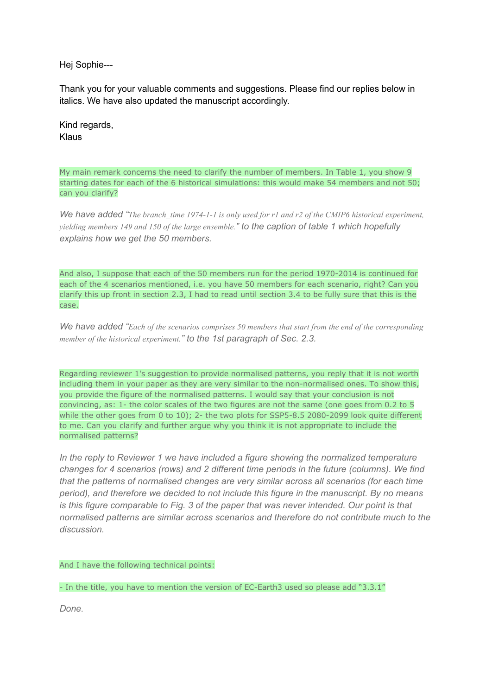Hej Sophie---

Thank you for your valuable comments and suggestions. Please find our replies below in italics. We have also updated the manuscript accordingly.

Kind regards, Klaus

My main remark concerns the need to clarify the number of members. In Table 1, you show 9 starting dates for each of the 6 historical simulations: this would make 54 members and not 50; can you clarify?

We have added "The branch time  $1974$ -1-1 is only used for r1 and r2 of the CMIP6 historical experiment, *yielding members 149 and 150 of the large ensemble." to the caption of table 1 which hopefully explains how we get the 50 members.*

And also, I suppose that each of the 50 members run for the period 1970-2014 is continued for each of the 4 scenarios mentioned, i.e. you have 50 members for each scenario, right? Can you clarify this up front in section 2.3, I had to read until section 3.4 to be fully sure that this is the case.

We have added "Each of the scenarios comprises 50 members that start from the end of the corresponding *member of the historical experiment." to the 1st paragraph of Sec. 2.3.*

Regarding reviewer 1's suggestion to provide normalised patterns, you reply that it is not worth including them in your paper as they are very similar to the non-normalised ones. To show this, you provide the figure of the normalised patterns. I would say that your conclusion is not convincing, as: 1- the color scales of the two figures are not the same (one goes from 0.2 to 5 while the other goes from 0 to 10); 2- the two plots for SSP5-8.5 2080-2099 look quite different to me. Can you clarify and further argue why you think it is not appropriate to include the normalised patterns?

*In the reply to Reviewer 1 we have included a figure showing the normalized temperature changes for 4 scenarios (rows) and 2 different time periods in the future (columns). We find that the patterns of normalised changes are very similar across all scenarios (for each time period), and therefore we decided to not include this figure in the manuscript. By no means is this figure comparable to Fig. 3 of the paper that was never intended. Our point is that normalised patterns are similar across scenarios and therefore do not contribute much to the discussion.*

And I have the following technical points:

- In the title, you have to mention the version of EC-Earth3 used so please add "3.3.1"

*Done.*